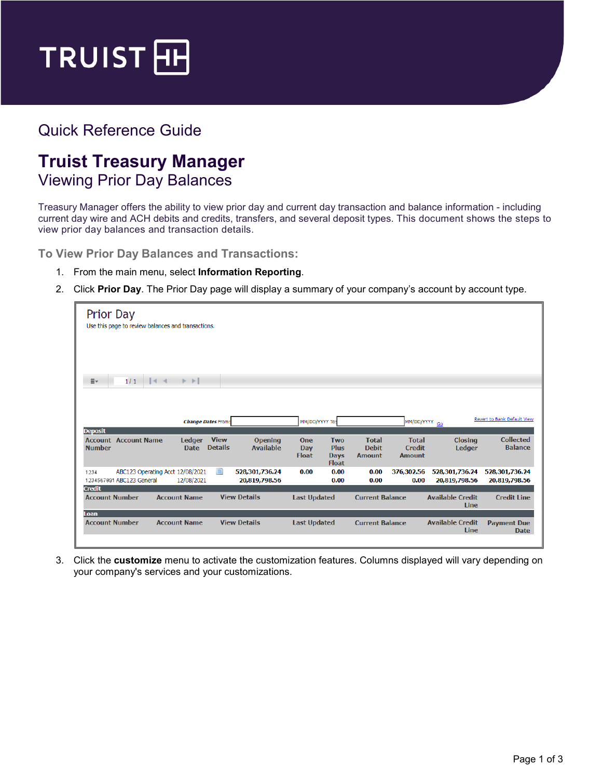

## Quick Reference Guide

## **Truist Treasury Manager** Viewing Prior Day Balances

Treasury Manager offers the ability to view prior day and current day transaction and balance information - including current day wire and ACH debits and credits, transfers, and several deposit types. This document shows the steps to view prior day balances and transaction details.

**To View Prior Day Balances and Transactions:**

- 1. From the main menu, select **Information Reporting**.
- 2. Click **Prior Day**. The Prior Day page will display a summary of your company's account by account type.

| <b>Prior Day</b><br>Use this page to review balances and transactions.                                                                              |                                                                                        |                                                                                                 |                                                                      |
|-----------------------------------------------------------------------------------------------------------------------------------------------------|----------------------------------------------------------------------------------------|-------------------------------------------------------------------------------------------------|----------------------------------------------------------------------|
| 1/1<br>$\triangleright$ $\triangleright$<br>≣∗<br>$\vert \vert$                                                                                     |                                                                                        |                                                                                                 |                                                                      |
| <b>Change Dates From:</b><br><b>Deposit</b>                                                                                                         | MM/DD/YYYY To:                                                                         | MM/DD/YYYY GO                                                                                   | Revert to Bank Default View                                          |
| <b>View</b><br><b>Account Account Name</b><br><b>Ledger</b><br><b>Opening</b><br><b>Details</b><br><b>Available</b><br><b>Number</b><br><b>Date</b> | One<br><b>Two</b><br><b>Plus</b><br>Day<br><b>Float</b><br><b>Days</b><br><b>Float</b> | <b>Total</b><br><b>Total</b><br><b>Debit</b><br><b>Credit</b><br><b>Amount</b><br><b>Amount</b> | <b>Collected</b><br><b>Closing</b><br><b>Balance</b><br>Ledger       |
| ≘<br>ABC123 Operating Acct 12/08/2021<br>528,301,736.24<br>1234<br>1234567891 ABC123 General<br>20,819,798.56<br>12/08/2021                         | 0.00<br>0.00<br>0.00                                                                   | 0.00<br>376,302.56<br>0.00<br>0.00                                                              | 528,301,736.24<br>528,301,736.24<br>20,819,798.56<br>20,819,798.56   |
| <b>Credit</b><br><b>View Details</b><br><b>Account Number</b><br><b>Account Name</b><br>Loan                                                        | <b>Last Updated</b>                                                                    | <b>Current Balance</b>                                                                          | <b>Available Credit</b><br><b>Credit Line</b><br>Line                |
| <b>Account Number</b><br><b>Account Name</b><br><b>View Details</b>                                                                                 | <b>Last Updated</b>                                                                    | <b>Current Balance</b>                                                                          | <b>Available Credit</b><br><b>Payment Due</b><br>Line<br><b>Date</b> |

3. Click the **customize** menu to activate the customization features. Columns displayed will vary depending on your company's services and your customizations.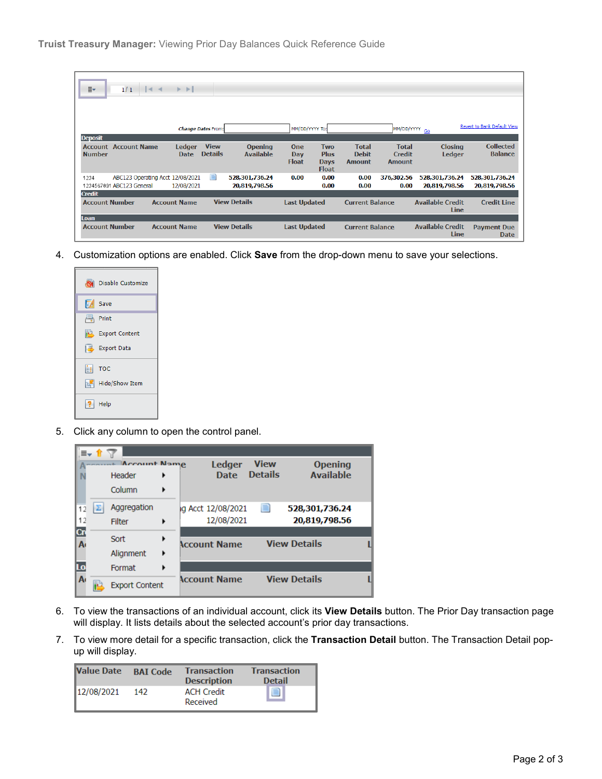| ≣∗<br>1/1                                    | $ 4$ $ $ $ $ $ $ $ $ $ $ $ $     |                               |                                    |                                   |                                                          |                                               |                                                |                                 |                                    |
|----------------------------------------------|----------------------------------|-------------------------------|------------------------------------|-----------------------------------|----------------------------------------------------------|-----------------------------------------------|------------------------------------------------|---------------------------------|------------------------------------|
|                                              |                                  |                               |                                    |                                   |                                                          |                                               |                                                |                                 |                                    |
|                                              |                                  | <b>Change Dates From:</b>     |                                    | MM/DD/YYYY To:                    |                                                          |                                               | MM/DD/YYYY GO                                  |                                 | Revert to Bank Default View        |
| <b>Deposit</b>                               |                                  |                               |                                    |                                   |                                                          |                                               |                                                |                                 |                                    |
| <b>Account</b> Account Name<br><b>Number</b> | <b>Ledger</b><br><b>Date</b>     | <b>View</b><br><b>Details</b> | <b>Opening</b><br><b>Available</b> | <b>One</b><br>Day<br><b>Float</b> | <b>Two</b><br><b>Plus</b><br><b>Days</b><br><b>Float</b> | <b>Total</b><br><b>Debit</b><br><b>Amount</b> | <b>Total</b><br><b>Credit</b><br><b>Amount</b> | <b>Closing</b><br><b>Ledger</b> | <b>Collected</b><br><b>Balance</b> |
| 1234                                         | ABC123 Operating Acct 12/08/2021 | $\blacksquare$                | 528,301,736.24                     | 0.00                              | 0.00                                                     | 0.00                                          | 376,302.56                                     | 528,301,736.24                  | 528,301,736.24                     |
| 1234567891 ABC123 General                    | 12/08/2021                       |                               | 20,819,798.56                      |                                   | 0.00                                                     | 0.00                                          | 0.00                                           | 20,819,798.56                   | 20,819,798.56                      |
| <b>Credit</b>                                |                                  |                               |                                    |                                   |                                                          |                                               |                                                |                                 |                                    |
| <b>Account Number</b>                        | <b>Account Name</b>              |                               | <b>View Details</b>                | <b>Last Updated</b>               |                                                          | <b>Current Balance</b>                        |                                                | <b>Available Credit</b><br>Line | <b>Credit Line</b>                 |
| Loan                                         |                                  |                               |                                    |                                   |                                                          |                                               |                                                |                                 |                                    |
| <b>Account Number</b>                        | <b>Account Name</b>              |                               | <b>View Details</b>                | <b>Last Updated</b>               |                                                          | <b>Current Balance</b>                        |                                                | <b>Available Credit</b><br>Line | <b>Payment Due</b><br><b>Date</b>  |

4. Customization options are enabled. Click **Save** from the drop-down menu to save your selections.

| Disable Customize                  |
|------------------------------------|
| Save                               |
| 昼<br>Print                         |
| Export Content                     |
| Export Data                        |
| $\left  \frac{1}{n+1} \right $ TOC |
| Hide/Show Item                     |
| Help                               |

5. Click any column to open the control panel.

|              | Account Name          |   | Ledger              | <b>View</b>    | <b>Opening</b>      |  |
|--------------|-----------------------|---|---------------------|----------------|---------------------|--|
|              | Header                | ١ | <b>Date</b>         | <b>Details</b> | <b>Available</b>    |  |
|              | Column                | ▶ |                     |                |                     |  |
| 12           | Aggregation           |   | ig Acct 12/08/2021  | e              | 528,301,736.24      |  |
| 12           | Filter                | ٠ | 12/08/2021          |                | 20,819,798.56       |  |
| Cn           | Sort                  | ▶ |                     |                |                     |  |
| $\mathbf{A}$ |                       |   | <b>Account Name</b> |                | <b>View Details</b> |  |
|              | Alignment             | ٠ |                     |                |                     |  |
| Lo           | Format                | ٠ |                     |                |                     |  |
| A٠           |                       |   | <b>Account Name</b> |                | <b>View Details</b> |  |
|              | <b>Export Content</b> |   |                     |                |                     |  |

- 6. To view the transactions of an individual account, click its **View Details** button. The Prior Day transaction page will display. It lists details about the selected account's prior day transactions.
- 7. To view more detail for a specific transaction, click the **Transaction Detail** button. The Transaction Detail popup will display.

| <b>Value Date</b> | <b>BAI</b> Code | <b>Transaction</b><br><b>Description</b> | <b>Transaction</b><br><b>Detail</b> |
|-------------------|-----------------|------------------------------------------|-------------------------------------|
| 12/08/2021        | 142             | <b>ACH Credit</b><br>Received            | $\equiv$                            |